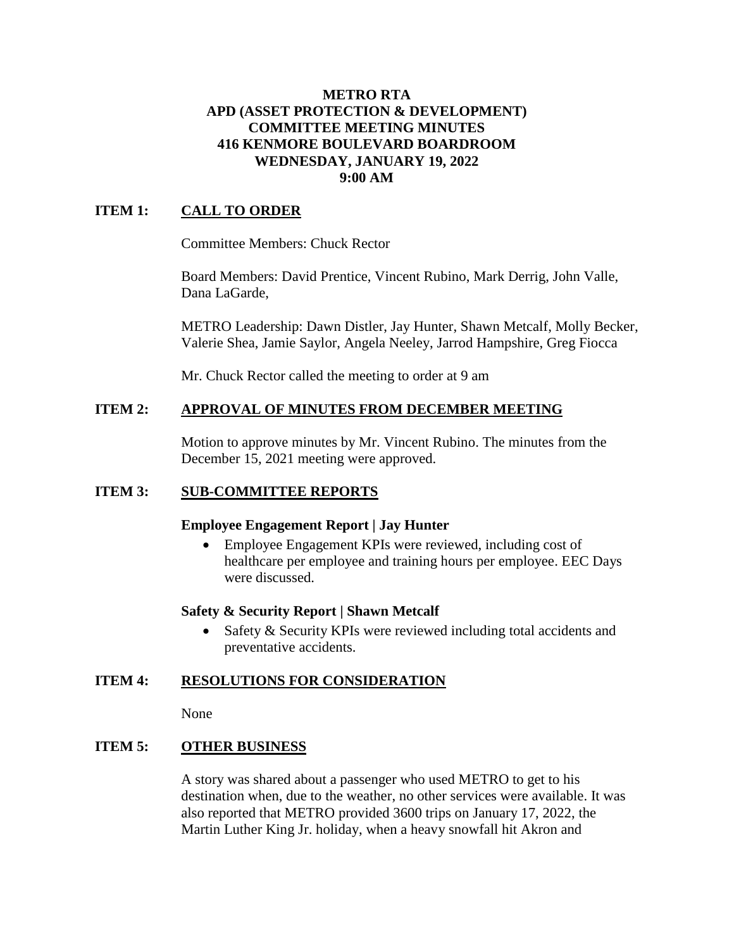### **METRO RTA APD (ASSET PROTECTION & DEVELOPMENT) COMMITTEE MEETING MINUTES 416 KENMORE BOULEVARD BOARDROOM WEDNESDAY, JANUARY 19, 2022 9:00 AM**

## **ITEM 1: CALL TO ORDER**

Committee Members: Chuck Rector

Board Members: David Prentice, Vincent Rubino, Mark Derrig, John Valle, Dana LaGarde,

METRO Leadership: Dawn Distler, Jay Hunter, Shawn Metcalf, Molly Becker, Valerie Shea, Jamie Saylor, Angela Neeley, Jarrod Hampshire, Greg Fiocca

Mr. Chuck Rector called the meeting to order at 9 am

## **ITEM 2: APPROVAL OF MINUTES FROM DECEMBER MEETING**

Motion to approve minutes by Mr. Vincent Rubino. The minutes from the December 15, 2021 meeting were approved.

## **ITEM 3: SUB-COMMITTEE REPORTS**

#### **Employee Engagement Report | Jay Hunter**

 Employee Engagement KPIs were reviewed, including cost of healthcare per employee and training hours per employee. EEC Days were discussed.

#### **Safety & Security Report | Shawn Metcalf**

• Safety & Security KPIs were reviewed including total accidents and preventative accidents.

## **ITEM 4: RESOLUTIONS FOR CONSIDERATION**

None

## **ITEM 5: OTHER BUSINESS**

A story was shared about a passenger who used METRO to get to his destination when, due to the weather, no other services were available. It was also reported that METRO provided 3600 trips on January 17, 2022, the Martin Luther King Jr. holiday, when a heavy snowfall hit Akron and